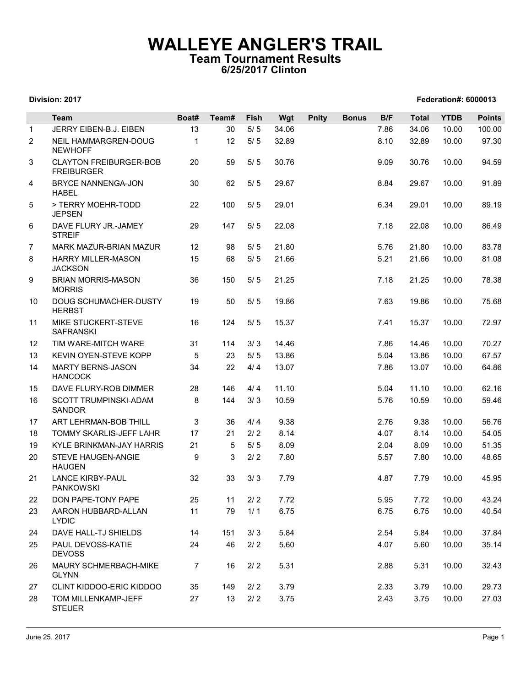## WALLEYE ANGLER'S TRAIL Team Tournament Results 6/25/2017 Clinton

## Division: 2017 Federation#: 6000013

|                | Division: 2017                                                           |                |           |                |                |              |              |              |                | Federation#: 6000013 |                |
|----------------|--------------------------------------------------------------------------|----------------|-----------|----------------|----------------|--------------|--------------|--------------|----------------|----------------------|----------------|
|                | Team                                                                     | Boat#          | Team#     | Fish           |                |              | <b>Bonus</b> | B/F          | Total          | <b>YTDB</b>          | <b>Points</b>  |
| $\mathbf{1}$   | JERRY EIBEN-B.J. EIBEN                                                   | 13             | 30        | $5/5$          | Wgt<br>34.06   | <b>Pnlty</b> |              | 7.86         | 34.06          | 10.00                | 100.00         |
| 2              | NEIL HAMMARGREN-DOUG<br><b>NEWHOFF</b>                                   | $\mathbf{1}$   | 12        | 5/5            | 32.89          |              |              | 8.10         | 32.89          | 10.00                | 97.30          |
| 3              | <b>CLAYTON FREIBURGER-BOB</b><br><b>FREIBURGER</b>                       | 20             | 59        | 5/5            | 30.76          |              |              | 9.09         | 30.76          | 10.00                | 94.59          |
| 4              | BRYCE NANNENGA-JON<br><b>HABEL</b>                                       | 30             | 62        | 5/5            | 29.67          |              |              | 8.84         | 29.67          | 10.00                | 91.89          |
| 5              | > TERRY MOEHR-TODD<br><b>JEPSEN</b>                                      | 22             | 100       | 5/5            | 29.01          |              |              | 6.34         | 29.01          | 10.00                | 89.19          |
| 6              | DAVE FLURY JR.-JAMEY<br><b>STREIF</b>                                    | 29             | 147       | 5/5            | 22.08          |              |              | 7.18         | 22.08          | 10.00                | 86.49          |
| $\overline{7}$ | MARK MAZUR-BRIAN MAZUR                                                   | 12             | 98        | $5/5$          | 21.80          |              |              | 5.76         | 21.80          | 10.00                | 83.78          |
| 8<br>9         | <b>HARRY MILLER-MASON</b><br><b>JACKSON</b><br><b>BRIAN MORRIS-MASON</b> | 15<br>36       | 68<br>150 | 5/5<br>5/5     | 21.66<br>21.25 |              |              | 5.21<br>7.18 | 21.66<br>21.25 | 10.00<br>10.00       | 81.08<br>78.38 |
| 10             | <b>MORRIS</b><br>DOUG SCHUMACHER-DUSTY                                   | 19             | 50        | 5/5            | 19.86          |              |              | 7.63         | 19.86          | 10.00                | 75.68          |
| 11             | <b>HERBST</b><br>MIKE STUCKERT-STEVE                                     | 16             | 124       | 5/5            | 15.37          |              |              | 7.41         | 15.37          | 10.00                | 72.97          |
| 12             | <b>SAFRANSKI</b><br>TIM WARE-MITCH WARE                                  | 31             | 114       | 3/3            | 14.46          |              |              | 7.86         | 14.46          | 10.00                | 70.27          |
| 13             | KEVIN OYEN-STEVE KOPP                                                    | 5              | 23        | $5/5$          | 13.86          |              |              | 5.04         | 13.86          | 10.00                | 67.57          |
| 14             | <b>MARTY BERNS-JASON</b><br><b>HANCOCK</b>                               | 34             | 22        | 4/4            | 13.07          |              |              | 7.86         | 13.07          | 10.00                | 64.86          |
| 15             | DAVE FLURY-ROB DIMMER                                                    | 28             | 146       | 4/4            | 11.10          |              |              | 5.04         | 11.10          | 10.00                | 62.16          |
| 16             | SCOTT TRUMPINSKI-ADAM<br><b>SANDOR</b>                                   | 8              | 144       | 3/3            | 10.59          |              |              | 5.76         | 10.59          | 10.00                | 59.46          |
| 17             | ART LEHRMAN-BOB THILL                                                    | 3              | 36        | 4/4            | 9.38           |              |              | 2.76         | 9.38           | 10.00                | 56.76          |
| 18             | TOMMY SKARLIS-JEFF LAHR                                                  | 17             | 21        | 2/2            | 8.14           |              |              | 4.07         | 8.14           | 10.00                | 54.05          |
| 19<br>20       | KYLE BRINKMAN-JAY HARRIS<br>STEVE HAUGEN-ANGIE<br><b>HAUGEN</b>          | 21<br>9        | 5<br>3    | $5/5$<br>$2/2$ | 8.09<br>7.80   |              |              | 2.04<br>5.57 | 8.09<br>7.80   | 10.00<br>10.00       | 51.35<br>48.65 |
| 21             | <b>LANCE KIRBY-PAUL</b><br><b>PANKOWSKI</b>                              | 32             | 33        | 3/3            | 7.79           |              |              | 4.87         | 7.79           | 10.00                | 45.95          |
| 22             | DON PAPE-TONY PAPE                                                       | 25             | 11        | $2/2$          | 7.72           |              |              | 5.95         | 7.72           | 10.00                | 43.24          |
| 23             | AARON HUBBARD-ALLAN<br><b>LYDIC</b>                                      | 11             | 79        | 1/1            | 6.75           |              |              | 6.75         | 6.75           | 10.00                | 40.54          |
| 24             | DAVE HALL-TJ SHIELDS                                                     | 14             | 151       | 3/3            | 5.84           |              |              | 2.54         | 5.84           | 10.00                | 37.84          |
| 25             | PAUL DEVOSS-KATIE<br><b>DEVOSS</b>                                       | 24             | 46        | 2/2            | 5.60           |              |              | 4.07         | 5.60           | 10.00                | 35.14          |
| 26             | MAURY SCHMERBACH-MIKE<br><b>GLYNN</b>                                    | $\overline{7}$ | 16        | $2/2$          | 5.31           |              |              | 2.88         | 5.31           | 10.00                | 32.43          |
| 27             | CLINT KIDDOO-ERIC KIDDOO                                                 | 35             | 149       | $2/2$          | 3.79           |              |              | 2.33         | 3.79           | 10.00                | 29.73          |
| 28             | TOM MILLENKAMP-JEFF<br><b>STEUER</b>                                     | 27             | 13        | 2/2            | 3.75           |              |              | 2.43         | 3.75           | 10.00                | 27.03          |